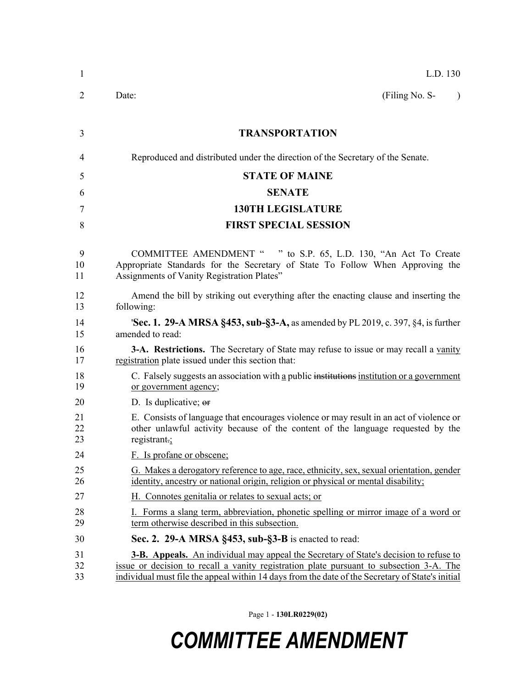| 1              | L.D. 130                                                                                                                                                                                                                                                                                    |
|----------------|---------------------------------------------------------------------------------------------------------------------------------------------------------------------------------------------------------------------------------------------------------------------------------------------|
| 2              | (Filing No. S-<br>Date:<br>$\lambda$                                                                                                                                                                                                                                                        |
| 3              | <b>TRANSPORTATION</b>                                                                                                                                                                                                                                                                       |
| 4              | Reproduced and distributed under the direction of the Secretary of the Senate.                                                                                                                                                                                                              |
| 5              | <b>STATE OF MAINE</b>                                                                                                                                                                                                                                                                       |
| 6              | <b>SENATE</b>                                                                                                                                                                                                                                                                               |
| 7              | <b>130TH LEGISLATURE</b>                                                                                                                                                                                                                                                                    |
| 8              | <b>FIRST SPECIAL SESSION</b>                                                                                                                                                                                                                                                                |
| 9<br>10<br>11  | COMMITTEE AMENDMENT " " to S.P. 65, L.D. 130, "An Act To Create<br>Appropriate Standards for the Secretary of State To Follow When Approving the<br>Assignments of Vanity Registration Plates"                                                                                              |
| 12<br>13       | Amend the bill by striking out everything after the enacting clause and inserting the<br>following:                                                                                                                                                                                         |
| 14<br>15       | <b>Sec. 1. 29-A MRSA §453, sub-§3-A, as amended by PL 2019, c. 397, §4, is further</b><br>amended to read:                                                                                                                                                                                  |
| 16<br>17       | <b>3-A. Restrictions.</b> The Secretary of State may refuse to issue or may recall a vanity<br>registration plate issued under this section that:                                                                                                                                           |
| 18<br>19       | C. Falsely suggests an association with a public institutions institution or a government<br>or government agency;                                                                                                                                                                          |
| 20             | D. Is duplicative; or                                                                                                                                                                                                                                                                       |
| 21<br>22<br>23 | E. Consists of language that encourages violence or may result in an act of violence or<br>other unlawful activity because of the content of the language requested by the<br>registrant. $\frac{1}{2}$                                                                                     |
| 24             | F. Is profane or obscene;                                                                                                                                                                                                                                                                   |
| 25<br>26       | G. Makes a derogatory reference to age, race, ethnicity, sex, sexual orientation, gender<br>identity, ancestry or national origin, religion or physical or mental disability;                                                                                                               |
| 27             | H. Connotes genitalia or relates to sexual acts; or                                                                                                                                                                                                                                         |
| 28<br>29       | I. Forms a slang term, abbreviation, phonetic spelling or mirror image of a word or<br>term otherwise described in this subsection.                                                                                                                                                         |
| 30             | Sec. 2. 29-A MRSA §453, sub-§3-B is enacted to read:                                                                                                                                                                                                                                        |
| 31<br>32<br>33 | <b>3-B.</b> Appeals. An individual may appeal the Secretary of State's decision to refuse to<br>issue or decision to recall a vanity registration plate pursuant to subsection 3-A. The<br>individual must file the appeal within 14 days from the date of the Secretary of State's initial |

Page 1 - **130LR0229(02)**

## *COMMITTEE AMENDMENT*